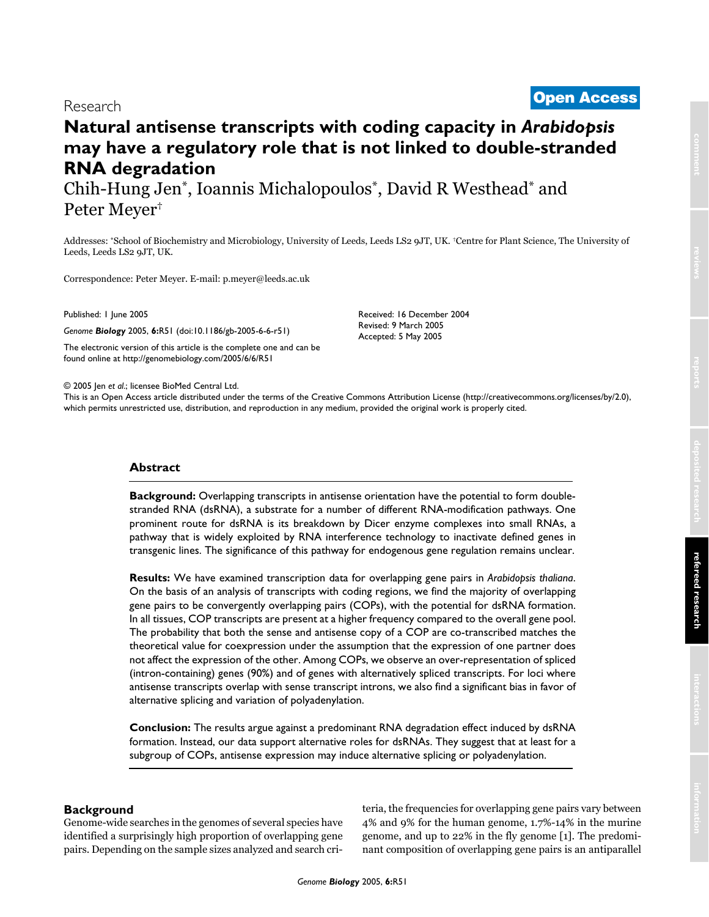# <sup>2005</sup> Jen et al. Volume 6, Issue 6, Article R51 **[Open Access](http://www.biomedcentral.com/info/about/charter/)** Research

# **Natural antisense transcripts with coding capacity in** *Arabidopsis*  **may have a regulatory role that is not linked to double-stranded RNA degradation**

Chih-Hung Jen\*, Ioannis Michalopoulos\*, David R Westhead\* and Peter Meyer†

Addresses: \*School of Biochemistry and Microbiology, University of Leeds, Leeds LS2 9JT, UK. †Centre for Plant Science, The University of Leeds, Leeds LS2 9JT, UK.

> Received: 16 December 2004 Revised: 9 March 2005 Accepted: 5 May 2005

Correspondence: Peter Meyer. E-mail: p.meyer@leeds.ac.uk

Published: 1 June 2005

*Genome Biology* 2005, **6:**R51 (doi:10.1186/gb-2005-6-6-r51)

[The electronic version of this article is the complete one and can be](http://genomebiology.com/2005/6/6/R51)  found online at http://genomebiology.com/2005/6/6/R51

© 2005 Jen *et al*.; licensee BioMed Central Ltd.

[This is an Open Access article distributed under the terms of the Creative Commons Attribution License \(http://creativecommons.org/licenses/by/2.0\),](http://creativecommons.org/licenses/by/2.0)  which permits unrestricted use, distribution, and reproduction in any medium, provided the original work is properly cited.

# **Abstract**

**Background:** Overlapping transcripts in antisense orientation have the potential to form doublestranded RNA (dsRNA), a substrate for a number of different RNA-modification pathways. One prominent route for dsRNA is its breakdown by Dicer enzyme complexes into small RNAs, a pathway that is widely exploited by RNA interference technology to inactivate defined genes in transgenic lines. The significance of this pathway for endogenous gene regulation remains unclear.

**Results:** We have examined transcription data for overlapping gene pairs in *Arabidopsis thaliana*. On the basis of an analysis of transcripts with coding regions, we find the majority of overlapping gene pairs to be convergently overlapping pairs (COPs), with the potential for dsRNA formation. In all tissues, COP transcripts are present at a higher frequency compared to the overall gene pool. The probability that both the sense and antisense copy of a COP are co-transcribed matches the theoretical value for coexpression under the assumption that the expression of one partner does not affect the expression of the other. Among COPs, we observe an over-representation of spliced (intron-containing) genes (90%) and of genes with alternatively spliced transcripts. For loci where antisense transcripts overlap with sense transcript introns, we also find a significant bias in favor of alternative splicing and variation of polyadenylation.

**Conclusion:** The results argue against a predominant RNA degradation effect induced by dsRNA formation. Instead, our data support alternative roles for dsRNAs. They suggest that at least for a subgroup of COPs, antisense expression may induce alternative splicing or polyadenylation.

# **Background**

Genome-wide searches in the genomes of several species have identified a surprisingly high proportion of overlapping gene pairs. Depending on the sample sizes analyzed and search criteria, the frequencies for overlapping gene pairs vary between 4% and 9% for the human genome, 1.7%-14% in the murine genome, and up to 22% in the fly genome [1]. The predominant composition of overlapping gene pairs is an antiparallel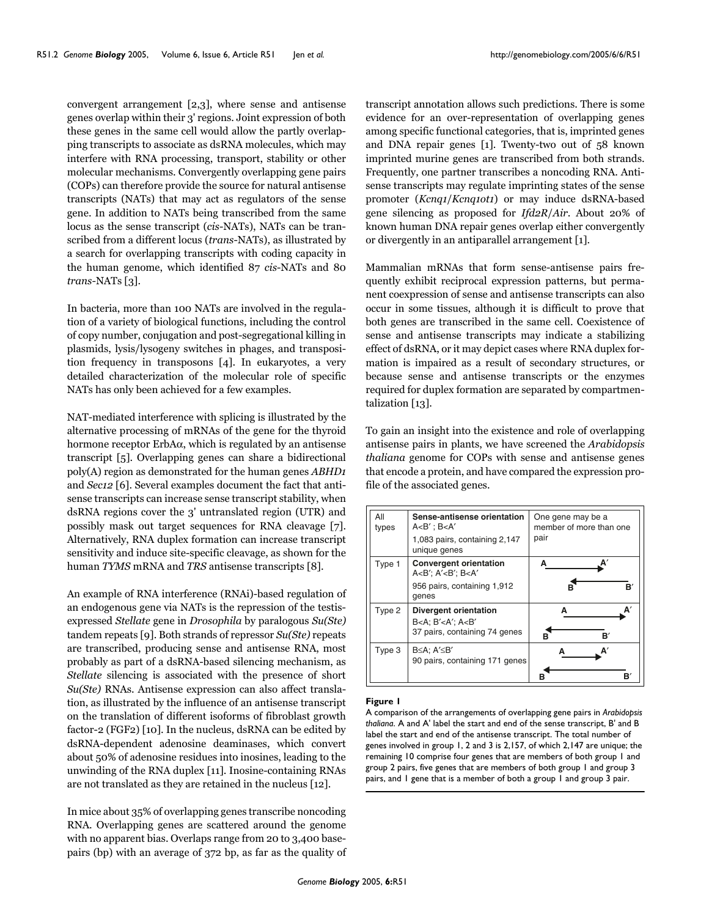convergent arrangement [2,3], where sense and antisense genes overlap within their 3' regions. Joint expression of both these genes in the same cell would allow the partly overlapping transcripts to associate as dsRNA molecules, which may interfere with RNA processing, transport, stability or other molecular mechanisms. Convergently overlapping gene pairs (COPs) can therefore provide the source for natural antisense transcripts (NATs) that may act as regulators of the sense gene. In addition to NATs being transcribed from the same locus as the sense transcript (*cis*-NATs), NATs can be transcribed from a different locus (*trans*-NATs), as illustrated by a search for overlapping transcripts with coding capacity in the human genome, which identified 87 *cis*-NATs and 80 *trans-*NATs [3].

In bacteria, more than 100 NATs are involved in the regulation of a variety of biological functions, including the control of copy number, conjugation and post-segregational killing in plasmids, lysis/lysogeny switches in phages, and transposition frequency in transposons [4]. In eukaryotes, a very detailed characterization of the molecular role of specific NATs has only been achieved for a few examples.

NAT-mediated interference with splicing is illustrated by the alternative processing of mRNAs of the gene for the thyroid hormone receptor ErbAα, which is regulated by an antisense transcript [5]. Overlapping genes can share a bidirectional poly(A) region as demonstrated for the human genes *ABHD1* and *Sec12* [6]. Several examples document the fact that antisense transcripts can increase sense transcript stability, when dsRNA regions cover the 3' untranslated region (UTR) and possibly mask out target sequences for RNA cleavage [7]. Alternatively, RNA duplex formation can increase transcript sensitivity and induce site-specific cleavage, as shown for the human *TYMS* mRNA and *TRS* antisense transcripts [8].

An example of RNA interference (RNAi)-based regulation of an endogenous gene via NATs is the repression of the testisexpressed *Stellate* gene in *Drosophila* by paralogous *Su(Ste)* tandem repeats [9]. Both strands of repressor *Su(Ste)* repeats are transcribed, producing sense and antisense RNA, most probably as part of a dsRNA-based silencing mechanism, as *Stellate* silencing is associated with the presence of short *Su(Ste)* RNAs. Antisense expression can also affect translation, as illustrated by the influence of an antisense transcript on the translation of different isoforms of fibroblast growth factor-2 (FGF2) [10]. In the nucleus, dsRNA can be edited by dsRNA-dependent adenosine deaminases, which convert about 50% of adenosine residues into inosines, leading to the unwinding of the RNA duplex [11]. Inosine-containing RNAs are not translated as they are retained in the nucleus [12].

In mice about 35% of overlapping genes transcribe noncoding RNA. Overlapping genes are scattered around the genome with no apparent bias. Overlaps range from 20 to 3,400 basepairs (bp) with an average of 372 bp, as far as the quality of transcript annotation allows such predictions. There is some evidence for an over-representation of overlapping genes among specific functional categories, that is, imprinted genes and DNA repair genes [1]. Twenty-two out of 58 known imprinted murine genes are transcribed from both strands. Frequently, one partner transcribes a noncoding RNA. Antisense transcripts may regulate imprinting states of the sense promoter (*Kcnq1*/*Kcnq1ot1*) or may induce dsRNA-based gene silencing as proposed for *Ifd2R*/*Air*. About 20% of known human DNA repair genes overlap either convergently or divergently in an antiparallel arrangement [1].

Mammalian mRNAs that form sense-antisense pairs frequently exhibit reciprocal expression patterns, but permanent coexpression of sense and antisense transcripts can also occur in some tissues, although it is difficult to prove that both genes are transcribed in the same cell. Coexistence of sense and antisense transcripts may indicate a stabilizing effect of dsRNA, or it may depict cases where RNA duplex formation is impaired as a result of secondary structures, or because sense and antisense transcripts or the enzymes required for duplex formation are separated by compartmentalization [13].

To gain an insight into the existence and role of overlapping antisense pairs in plants, we have screened the *Arabidopsis thaliana* genome for COPs with sense and antisense genes that encode a protein, and have compared the expression profile of the associated genes.

| All<br>types | Sense-antisense orientation<br>$A < B'$ ; $B < A'$                                            | One gene may be a<br>member of more than one |
|--------------|-----------------------------------------------------------------------------------------------|----------------------------------------------|
|              | 1,083 pairs, containing 2,147<br>unique genes                                                 | pair                                         |
| Type 1       | <b>Convergent orientation</b><br>A <b'; a'<b';="" b<a'<="" td=""><td>А</td></b';>             | А                                            |
|              | 956 pairs, containing 1,912<br>genes                                                          | B'                                           |
| Type 2       | <b>Divergent orientation</b><br>B <a; a<b'<br="" b'<a';="">37 pairs, containing 74 genes</a;> | A<br>R<br>B                                  |
| Type 3       | $B\leq A$ ; $A'\leq B'$<br>90 pairs, containing 171 genes                                     | Δ                                            |
|              |                                                                                               | B<br>в                                       |

#### A comparison of the arrangements of overlapping gene pairs in *thaliana* **Figure 1** *Arabidopsis*

A comparison of the arrangements of overlapping gene pairs in *Arabidopsis thaliana*. A and A' label the start and end of the sense transcript, B' and B label the start and end of the antisense transcript. The total number of genes involved in group 1, 2 and 3 is 2,157, of which 2,147 are unique; the remaining 10 comprise four genes that are members of both group 1 and group 2 pairs, five genes that are members of both group 1 and group 3 pairs, and 1 gene that is a member of both a group 1 and group 3 pair.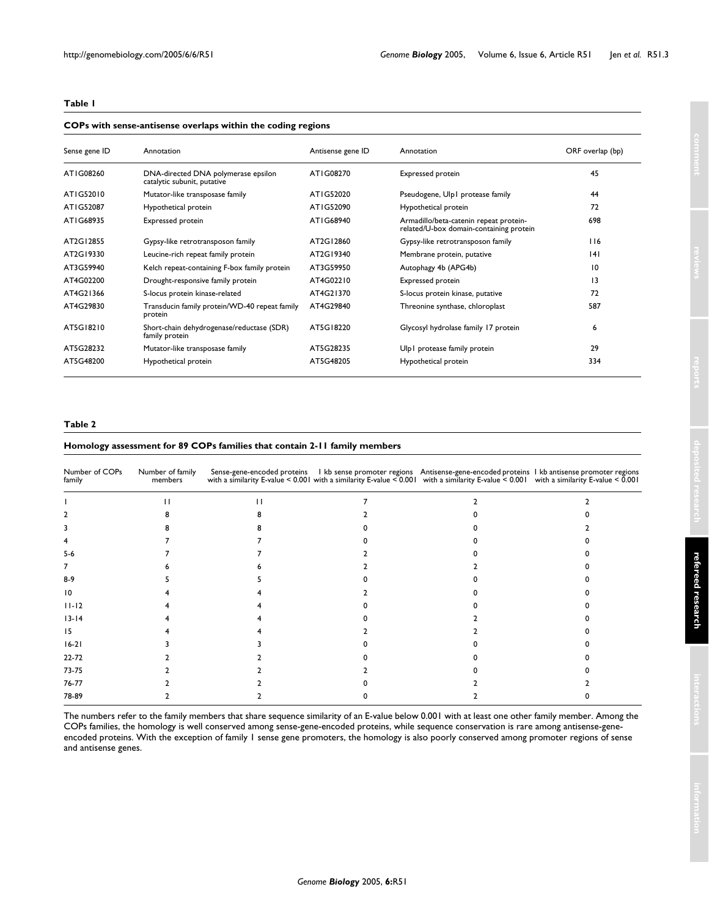### <span id="page-2-0"></span>**Table 1**

# **COPs with sense-antisense overlaps within the coding regions**

| Sense gene ID | Annotation                                                         | Antisense gene ID | Annotation                                                                        | ORF overlap (bp) |
|---------------|--------------------------------------------------------------------|-------------------|-----------------------------------------------------------------------------------|------------------|
| ATIG08260     | DNA-directed DNA polymerase epsilon<br>catalytic subunit, putative | ATIG08270         | Expressed protein                                                                 | 45               |
| ATIG52010     | Mutator-like transposase family                                    | ATIG52020         | Pseudogene, Ulp1 protease family                                                  | 44               |
| ATIG52087     | Hypothetical protein                                               | ATIG52090         | Hypothetical protein                                                              | 72               |
| ATIG68935     | Expressed protein                                                  | ATIG68940         | Armadillo/beta-catenin repeat protein-<br>related/U-box domain-containing protein | 698              |
| AT2G12855     | Gypsy-like retrotransposon family                                  | AT2G12860         | Gypsy-like retrotransposon family                                                 | 116              |
| AT2G19330     | Leucine-rich repeat family protein                                 | AT2G19340         | Membrane protein, putative                                                        | 4                |
| AT3G59940     | Kelch repeat-containing F-box family protein                       | AT3G59950         | Autophagy 4b (APG4b)                                                              | 10               |
| AT4G02200     | Drought-responsive family protein                                  | AT4G02210         | Expressed protein                                                                 | 13               |
| AT4G21366     | S-locus protein kinase-related                                     | AT4G21370         | S-locus protein kinase, putative                                                  | 72               |
| AT4G29830     | Transducin family protein/WD-40 repeat family<br>protein           | AT4G29840         | Threonine synthase, chloroplast                                                   | 587              |
| AT5G18210     | Short-chain dehydrogenase/reductase (SDR)<br>family protein        | AT5G18220         | Glycosyl hydrolase family 17 protein                                              | 6                |
| AT5G28232     | Mutator-like transposase family                                    | AT5G28235         | Ulp1 protease family protein                                                      | 29               |
| AT5G48200     | Hypothetical protein                                               | AT5G48205         | Hypothetical protein                                                              | 334              |

### <span id="page-2-1"></span>**Table 2**

# **Homology assessment for 89 COPs families that contain 2-11 family members**

| Number of COPs<br>family | Number of family<br>members |  | Sense-gene-encoded proteins I kb sense promoter regions Antisense-gene-encoded proteins I kb antisense promoter regions with a similarity E-value < 0.001 with a similarity E-value < 0.001 with a similarity E-value < 0.001 |  |
|--------------------------|-----------------------------|--|-------------------------------------------------------------------------------------------------------------------------------------------------------------------------------------------------------------------------------|--|
|                          |                             |  |                                                                                                                                                                                                                               |  |
|                          |                             |  |                                                                                                                                                                                                                               |  |
|                          |                             |  |                                                                                                                                                                                                                               |  |
|                          |                             |  |                                                                                                                                                                                                                               |  |
| $5 - 6$                  |                             |  |                                                                                                                                                                                                                               |  |
|                          |                             |  |                                                                                                                                                                                                                               |  |
| $8-9$                    |                             |  |                                                                                                                                                                                                                               |  |
| 10                       |                             |  |                                                                                                                                                                                                                               |  |
| $11 - 12$                |                             |  |                                                                                                                                                                                                                               |  |
| $13 - 14$                |                             |  |                                                                                                                                                                                                                               |  |
| 15                       |                             |  |                                                                                                                                                                                                                               |  |
| $16-21$                  |                             |  |                                                                                                                                                                                                                               |  |
| 22-72                    |                             |  |                                                                                                                                                                                                                               |  |
| 73-75                    |                             |  |                                                                                                                                                                                                                               |  |
| 76-77                    |                             |  |                                                                                                                                                                                                                               |  |
| 78-89                    |                             |  |                                                                                                                                                                                                                               |  |

The numbers refer to the family members that share sequence similarity of an E-value below 0.001 with at least one other family member. Among the COPs families, the homology is well conserved among sense-gene-encoded proteins, while sequence conservation is rare among antisense-geneencoded proteins. With the exception of family 1 sense gene promoters, the homology is also poorly conserved among promoter regions of sense and antisense genes.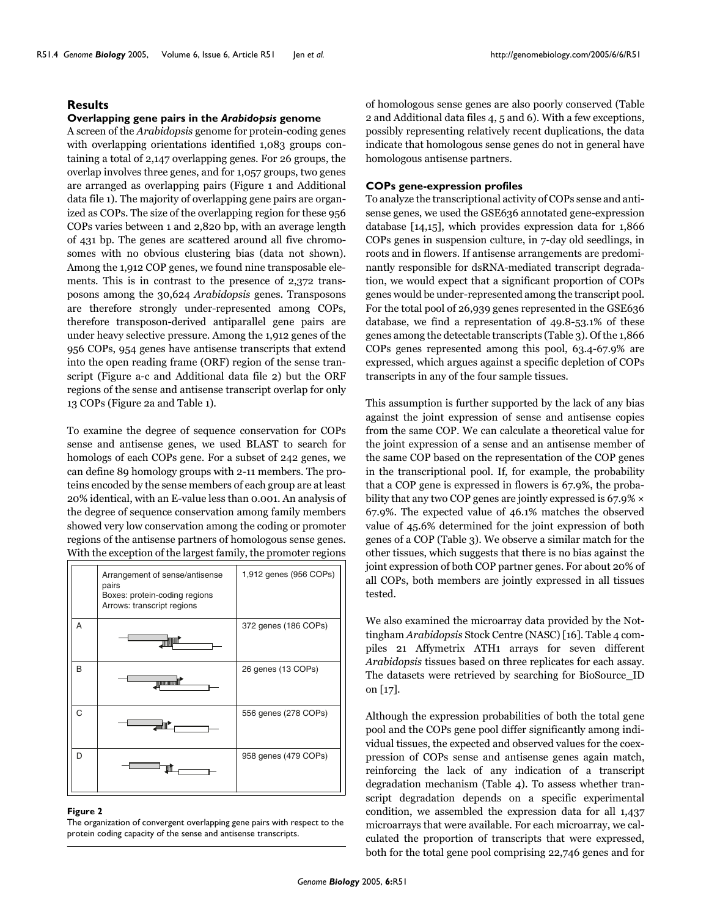# **Results**

# **Overlapping gene pairs in the** *Arabidopsis* **genome**

A screen of the *Arabidopsis* genome for protein-coding genes with overlapping orientations identified 1,083 groups containing a total of 2,147 overlapping genes. For 26 groups, the overlap involves three genes, and for 1,057 groups, two genes are arranged as overlapping pairs (Figure 1 and Additional data file 1). The majority of overlapping gene pairs are organized as COPs. The size of the overlapping region for these 956 COPs varies between 1 and 2,820 bp, with an average length of 431 bp. The genes are scattered around all five chromosomes with no obvious clustering bias (data not shown). Among the 1,912 COP genes, we found nine transposable elements. This is in contrast to the presence of 2,372 transposons among the 30,624 *Arabidopsis* genes. Transposons are therefore strongly under-represented among COPs, therefore transposon-derived antiparallel gene pairs are under heavy selective pressure. Among the 1,912 genes of the 956 COPs, 954 genes have antisense transcripts that extend into the open reading frame (ORF) region of the sense transcript (Figure a-c and Additional data file 2) but the ORF regions of the sense and antisense transcript overlap for only 13 COPs (Figure 2a and Table [1](#page-2-0)).

To examine the degree of sequence conservation for COPs sense and antisense genes, we used BLAST to search for homologs of each COPs gene. For a subset of 242 genes, we can define 89 homology groups with 2-11 members. The proteins encoded by the sense members of each group are at least 20% identical, with an E-value less than 0.001. An analysis of the degree of sequence conservation among family members showed very low conservation among the coding or promoter regions of the antisense partners of homologous sense genes. With the exception of the largest family, the promoter regions



#### The organization of convergent overlapp protein coding capacity of the sense and antisense transcripts **Figure 2** ing gene pairs with respect to the

The organization of convergent overlapping gene pairs with respect to the protein coding capacity of the sense and antisense transcripts.

of homologous sense genes are also poorly conserved (Table [2](#page-2-1) and Additional data files 4, 5 and 6). With a few exceptions, possibly representing relatively recent duplications, the data indicate that homologous sense genes do not in general have homologous antisense partners.

### **COPs gene-expression profiles**

To analyze the transcriptional activity of COPs sense and antisense genes, we used the GSE636 annotated gene-expression database [14,15], which provides expression data for 1,866 COPs genes in suspension culture, in 7-day old seedlings, in roots and in flowers. If antisense arrangements are predominantly responsible for dsRNA-mediated transcript degradation, we would expect that a significant proportion of COPs genes would be under-represented among the transcript pool. For the total pool of 26,939 genes represented in the GSE636 database, we find a representation of 49.8-53.1% of these genes among the detectable transcripts (Table [3\)](#page-4-0). Of the 1,866 COPs genes represented among this pool, 63.4-67.9% are expressed, which argues against a specific depletion of COPs transcripts in any of the four sample tissues.

This assumption is further supported by the lack of any bias against the joint expression of sense and antisense copies from the same COP. We can calculate a theoretical value for the joint expression of a sense and an antisense member of the same COP based on the representation of the COP genes in the transcriptional pool. If, for example, the probability that a COP gene is expressed in flowers is 67.9%, the probability that any two COP genes are jointly expressed is 67.9%  $\times$ 67.9%. The expected value of 46.1% matches the observed value of 45.6% determined for the joint expression of both genes of a COP (Table [3](#page-4-0)). We observe a similar match for the other tissues, which suggests that there is no bias against the joint expression of both COP partner genes. For about 20% of all COPs, both members are jointly expressed in all tissues tested.

We also examined the microarray data provided by the Nottingham *Arabidopsis* Stock Centre (NASC) [16]. Table [4](#page-4-1) compiles 21 Affymetrix ATH1 arrays for seven different *Arabidopsis* tissues based on three replicates for each assay. The datasets were retrieved by searching for BioSource\_ID on [17].

Although the expression probabilities of both the total gene pool and the COPs gene pool differ significantly among individual tissues, the expected and observed values for the coexpression of COPs sense and antisense genes again match, reinforcing the lack of any indication of a transcript degradation mechanism (Table [4](#page-4-1)). To assess whether transcript degradation depends on a specific experimental condition, we assembled the expression data for all 1,437 microarrays that were available. For each microarray, we calculated the proportion of transcripts that were expressed, both for the total gene pool comprising 22,746 genes and for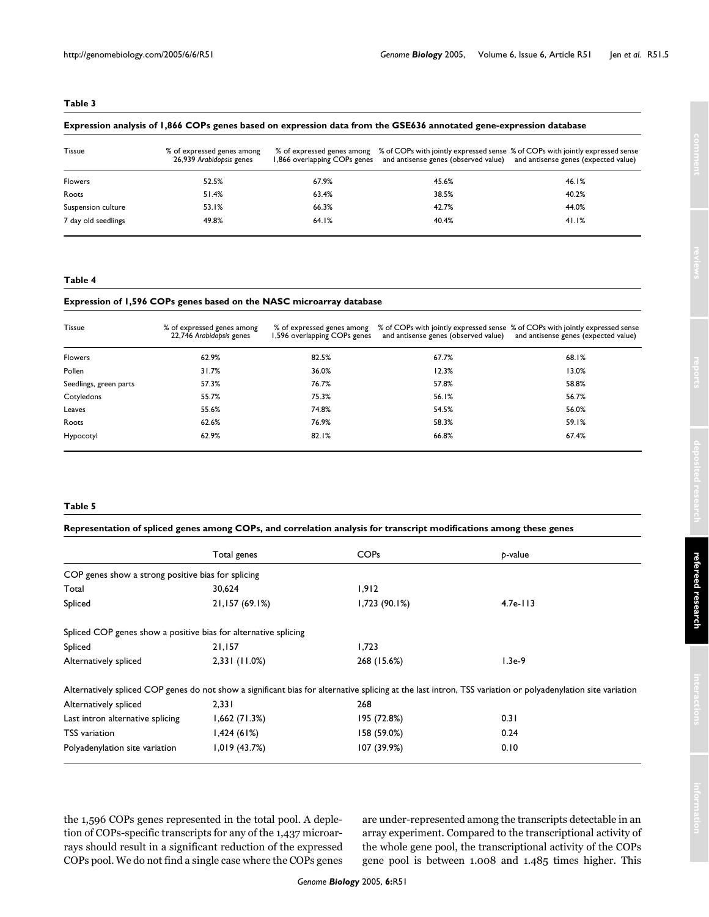#### <span id="page-4-0"></span>**Table 3**

# **Expression analysis of 1,866 COPs genes based on expression data from the GSE636 annotated gene-expression database**

| <b>Tissue</b>       | % of expressed genes among<br>26,939 Arabidopsis genes |       | 1,866 overlapping COPs genes and antisense genes (observed value) and antisense genes (expected value) | % of expressed genes among % of COPs with jointly expressed sense % of COPs with jointly expressed sense |
|---------------------|--------------------------------------------------------|-------|--------------------------------------------------------------------------------------------------------|----------------------------------------------------------------------------------------------------------|
| <b>Flowers</b>      | 52.5%                                                  | 67.9% | 45.6%                                                                                                  | 46.1%                                                                                                    |
| Roots               | 51.4%                                                  | 63.4% | 38.5%                                                                                                  | 40.2%                                                                                                    |
| Suspension culture  | 53.1%                                                  | 66.3% | 42.7%                                                                                                  | 44.0%                                                                                                    |
| 7 day old seedlings | 49.8%                                                  | 64.1% | 40.4%                                                                                                  | 41.1%                                                                                                    |

#### <span id="page-4-1"></span>**Table 4**

#### **Expression of 1,596 COPs genes based on the NASC microarray database**

| <b>Tissue</b>          | % of expressed genes among<br>22,746 Arabidopsis genes | % of expressed genes among<br>1,596 overlapping COPs genes |       | % of COPs with jointly expressed sense % of COPs with jointly expressed sense<br>and antisense genes (observed value) and antisense genes (expected value) |
|------------------------|--------------------------------------------------------|------------------------------------------------------------|-------|------------------------------------------------------------------------------------------------------------------------------------------------------------|
| <b>Flowers</b>         | 62.9%                                                  | 82.5%                                                      | 67.7% | 68.1%                                                                                                                                                      |
| Pollen                 | 31.7%                                                  | 36.0%                                                      | 12.3% | 13.0%                                                                                                                                                      |
| Seedlings, green parts | 57.3%                                                  | 76.7%                                                      | 57.8% | 58.8%                                                                                                                                                      |
| Cotyledons             | 55.7%                                                  | 75.3%                                                      | 56.1% | 56.7%                                                                                                                                                      |
| Leaves                 | 55.6%                                                  | 74.8%                                                      | 54.5% | 56.0%                                                                                                                                                      |
| Roots                  | 62.6%                                                  | 76.9%                                                      | 58.3% | 59.1%                                                                                                                                                      |
| Hypocotyl              | 62.9%                                                  | 82.1%                                                      | 66.8% | 67.4%                                                                                                                                                      |

#### <span id="page-4-2"></span>**Table 5**

# **Representation of spliced genes among COPs, and correlation analysis for transcript modifications among these genes**

|                                                                 | Total genes    | COP <sub>s</sub>                                                                                                                                            | b-value    |  |
|-----------------------------------------------------------------|----------------|-------------------------------------------------------------------------------------------------------------------------------------------------------------|------------|--|
| COP genes show a strong positive bias for splicing              |                |                                                                                                                                                             |            |  |
| Total                                                           | 30,624         | 1,912                                                                                                                                                       |            |  |
| Spliced                                                         | 21,157 (69.1%) | 1,723(90.1%)                                                                                                                                                | $4.7e-113$ |  |
| Spliced COP genes show a positive bias for alternative splicing |                |                                                                                                                                                             |            |  |
| Spliced                                                         | 21,157         | 1,723                                                                                                                                                       |            |  |
| Alternatively spliced                                           | 2,331 (11.0%)  | 268 (15.6%)                                                                                                                                                 | $1.3e-9$   |  |
|                                                                 |                | Alternatively spliced COP genes do not show a significant bias for alternative splicing at the last intron, TSS variation or polyadenylation site variation |            |  |
| Alternatively spliced                                           | 2.331          | 268                                                                                                                                                         |            |  |
| Last intron alternative splicing                                | 1,662(71.3%)   | 195 (72.8%)                                                                                                                                                 | 0.31       |  |
| <b>TSS</b> variation                                            | 1,424(61%)     | 158 (59.0%)                                                                                                                                                 | 0.24       |  |
| Polyadenylation site variation                                  | 1,019(43.7%)   | 107 (39.9%)                                                                                                                                                 | 0.10       |  |

the 1,596 COPs genes represented in the total pool. A depletion of COPs-specific transcripts for any of the 1,437 microarrays should result in a significant reduction of the expressed COPs pool. We do not find a single case where the COPs genes are under-represented among the transcripts detectable in an array experiment. Compared to the transcriptional activity of the whole gene pool, the transcriptional activity of the COPs gene pool is between 1.008 and 1.485 times higher. This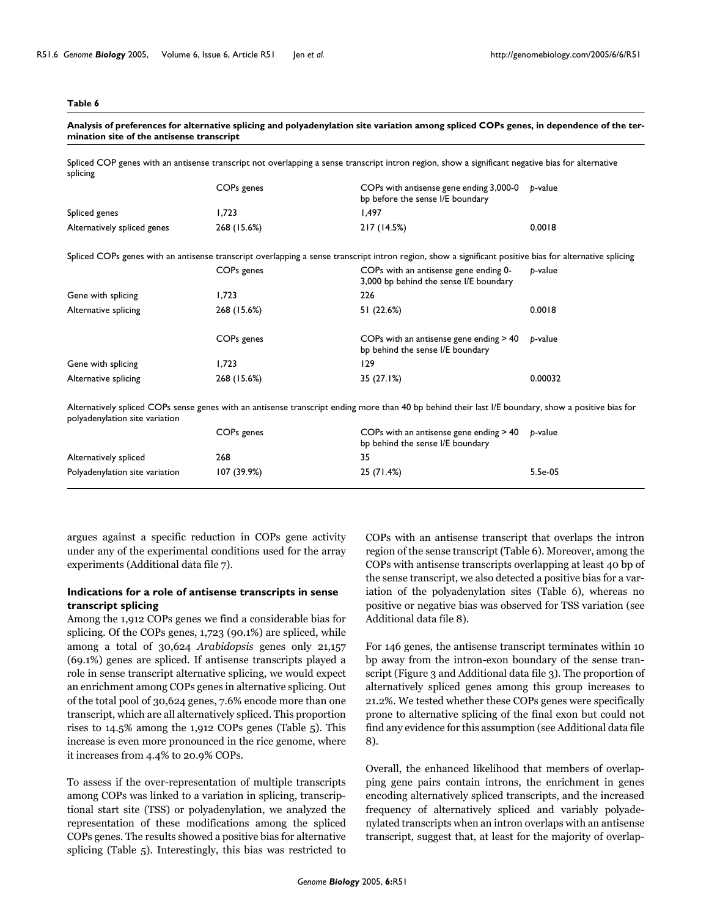#### <span id="page-5-0"></span>**Table 6**

# **Analysis of preferences for alternative splicing and polyadenylation site variation among spliced COPs genes, in dependence of the termination site of the antisense transcript**

Spliced COP genes with an antisense transcript not overlapping a sense transcript intron region, show a significant negative bias for alternative splicing

|                             | COP <sub>s</sub> genes | COPs with antisense gene ending 3,000-0<br>bp before the sense I/E boundary                                                                             | b-value |
|-----------------------------|------------------------|---------------------------------------------------------------------------------------------------------------------------------------------------------|---------|
| Spliced genes               | 1.723                  | .497                                                                                                                                                    |         |
| Alternatively spliced genes | 268 (15.6%)            | 217 (14.5%)                                                                                                                                             | 0.0018  |
|                             |                        | Spliced COPs genes with an antisense transcript overlapping a sense transcript intron region, show a significant positive bias for alternative splicing |         |

|                      | COP <sub>s</sub> genes | COPs with an antisense gene ending 0-<br>3,000 bp behind the sense I/E boundary | b-value |
|----------------------|------------------------|---------------------------------------------------------------------------------|---------|
| Gene with splicing   | 1.723                  | 226                                                                             |         |
| Alternative splicing | 268 (15.6%)            | 51 (22.6%)                                                                      | 0.0018  |
|                      | COP <sub>s</sub> genes | COPs with an antisense gene ending $> 40$<br>bp behind the sense I/E boundary   | b-value |
| Gene with splicing   | 1.723                  | 129                                                                             |         |
| Alternative splicing | 268 (15.6%)            | 35 (27.1%)                                                                      | 0.00032 |

Alternatively spliced COPs sense genes with an antisense transcript ending more than 40 bp behind their last I/E boundary, show a positive bias for polyadenylation site variation

|                                | COP <sub>s</sub> genes | COPs with an antisense gene ending $> 40$<br>bp behind the sense I/E boundary | b-value   |
|--------------------------------|------------------------|-------------------------------------------------------------------------------|-----------|
| Alternatively spliced          | 268                    | 35                                                                            |           |
| Polyadenylation site variation | 107(39.9%)             | 25 (71.4%)                                                                    | $5.5e-05$ |

argues against a specific reduction in COPs gene activity under any of the experimental conditions used for the array experiments (Additional data file 7).

# **Indications for a role of antisense transcripts in sense transcript splicing**

Among the 1,912 COPs genes we find a considerable bias for splicing. Of the COPs genes, 1,723 (90.1%) are spliced, while among a total of 30,624 *Arabidopsis* genes only 21,157 (69.1%) genes are spliced. If antisense transcripts played a role in sense transcript alternative splicing, we would expect an enrichment among COPs genes in alternative splicing. Out of the total pool of 30,624 genes, 7.6% encode more than one transcript, which are all alternatively spliced. This proportion rises to 14.5% among the 1,912 COPs genes (Table [5](#page-4-2)). This increase is even more pronounced in the rice genome, where it increases from 4.4% to 20.9% COPs.

To assess if the over-representation of multiple transcripts among COPs was linked to a variation in splicing, transcriptional start site (TSS) or polyadenylation, we analyzed the representation of these modifications among the spliced COPs genes. The results showed a positive bias for alternative splicing (Table [5](#page-4-2)). Interestingly, this bias was restricted to COPs with an antisense transcript that overlaps the intron region of the sense transcript (Table [6\)](#page-5-0). Moreover, among the COPs with antisense transcripts overlapping at least 40 bp of the sense transcript, we also detected a positive bias for a variation of the polyadenylation sites (Table [6\)](#page-5-0), whereas no positive or negative bias was observed for TSS variation (see Additional data file 8).

For 146 genes, the antisense transcript terminates within 10 bp away from the intron-exon boundary of the sense transcript (Figure 3 and Additional data file 3). The proportion of alternatively spliced genes among this group increases to 21.2%. We tested whether these COPs genes were specifically prone to alternative splicing of the final exon but could not find any evidence for this assumption (see Additional data file 8).

Overall, the enhanced likelihood that members of overlapping gene pairs contain introns, the enrichment in genes encoding alternatively spliced transcripts, and the increased frequency of alternatively spliced and variably polyadenylated transcripts when an intron overlaps with an antisense transcript, suggest that, at least for the majority of overlap-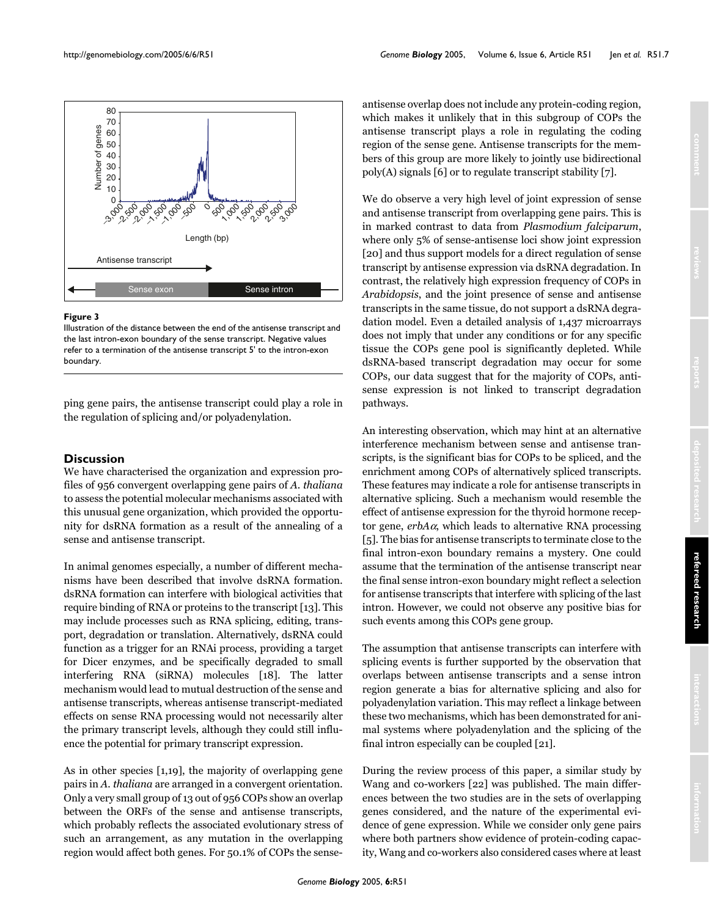

#### Figure 3

Illustration of the distance between the end of the antisense transcript and the last intron-exon boundary of the sense transcript. Negative values refer to a termination of the antisense transcript 5' to the intron-exon boundary.

ping gene pairs, the antisense transcript could play a role in the regulation of splicing and/or polyadenylation.

# **Discussion**

We have characterised the organization and expression profiles of 956 convergent overlapping gene pairs of *A. thaliana* to assess the potential molecular mechanisms associated with this unusual gene organization, which provided the opportunity for dsRNA formation as a result of the annealing of a sense and antisense transcript.

In animal genomes especially, a number of different mechanisms have been described that involve dsRNA formation. dsRNA formation can interfere with biological activities that require binding of RNA or proteins to the transcript [13]. This may include processes such as RNA splicing, editing, transport, degradation or translation. Alternatively, dsRNA could function as a trigger for an RNAi process, providing a target for Dicer enzymes, and be specifically degraded to small interfering RNA (siRNA) molecules [18]. The latter mechanism would lead to mutual destruction of the sense and antisense transcripts, whereas antisense transcript-mediated effects on sense RNA processing would not necessarily alter the primary transcript levels, although they could still influence the potential for primary transcript expression.

As in other species [1,19], the majority of overlapping gene pairs in *A. thaliana* are arranged in a convergent orientation. Only a very small group of 13 out of 956 COPs show an overlap between the ORFs of the sense and antisense transcripts, which probably reflects the associated evolutionary stress of such an arrangement, as any mutation in the overlapping region would affect both genes. For 50.1% of COPs the senseantisense overlap does not include any protein-coding region, which makes it unlikely that in this subgroup of COPs the antisense transcript plays a role in regulating the coding region of the sense gene. Antisense transcripts for the members of this group are more likely to jointly use bidirectional poly(A) signals [6] or to regulate transcript stability [7].

We do observe a very high level of joint expression of sense and antisense transcript from overlapping gene pairs. This is in marked contrast to data from *Plasmodium falciparum*, where only 5% of sense-antisense loci show joint expression [20] and thus support models for a direct regulation of sense transcript by antisense expression via dsRNA degradation. In contrast, the relatively high expression frequency of COPs in *Arabidopsis*, and the joint presence of sense and antisense transcripts in the same tissue, do not support a dsRNA degradation model. Even a detailed analysis of 1,437 microarrays does not imply that under any conditions or for any specific tissue the COPs gene pool is significantly depleted. While dsRNA-based transcript degradation may occur for some COPs, our data suggest that for the majority of COPs, antisense expression is not linked to transcript degradation pathways.

An interesting observation, which may hint at an alternative interference mechanism between sense and antisense transcripts, is the significant bias for COPs to be spliced, and the enrichment among COPs of alternatively spliced transcripts. These features may indicate a role for antisense transcripts in alternative splicing. Such a mechanism would resemble the effect of antisense expression for the thyroid hormone receptor gene,  $erbA\alpha$ , which leads to alternative RNA processing [5]. The bias for antisense transcripts to terminate close to the final intron-exon boundary remains a mystery. One could assume that the termination of the antisense transcript near the final sense intron-exon boundary might reflect a selection for antisense transcripts that interfere with splicing of the last intron. However, we could not observe any positive bias for such events among this COPs gene group.

The assumption that antisense transcripts can interfere with splicing events is further supported by the observation that overlaps between antisense transcripts and a sense intron region generate a bias for alternative splicing and also for polyadenylation variation. This may reflect a linkage between these two mechanisms, which has been demonstrated for animal systems where polyadenylation and the splicing of the final intron especially can be coupled [21].

During the review process of this paper, a similar study by Wang and co-workers [\[22](#page-8-0)] was published. The main differences between the two studies are in the sets of overlapping genes considered, and the nature of the experimental evidence of gene expression. While we consider only gene pairs where both partners show evidence of protein-coding capacity, Wang and co-workers also considered cases where at least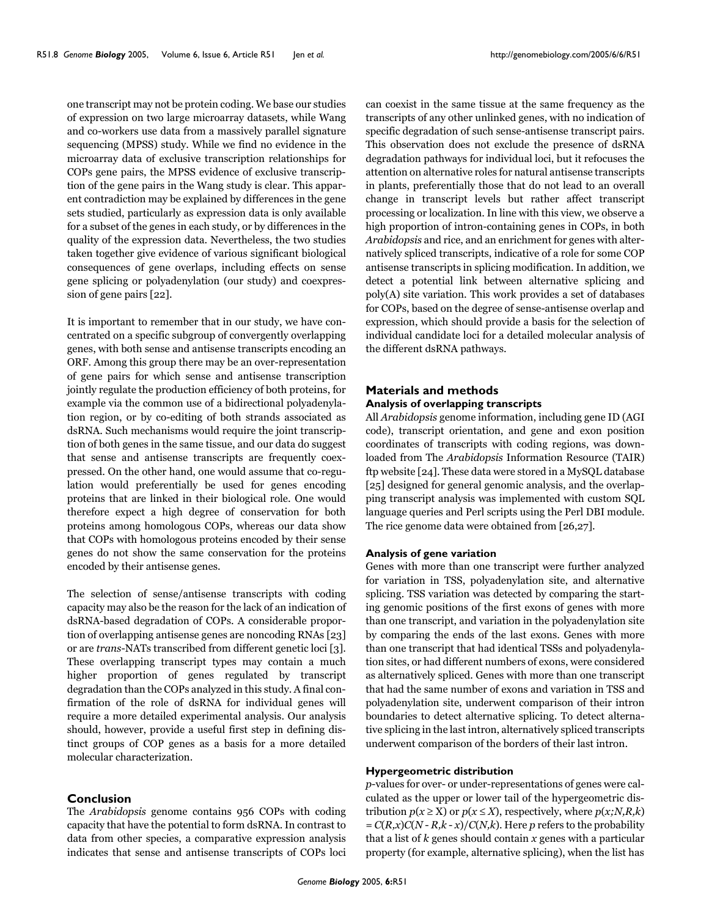one transcript may not be protein coding. We base our studies of expression on two large microarray datasets, while Wang and co-workers use data from a massively parallel signature sequencing (MPSS) study. While we find no evidence in the microarray data of exclusive transcription relationships for COPs gene pairs, the MPSS evidence of exclusive transcription of the gene pairs in the Wang study is clear. This apparent contradiction may be explained by differences in the gene sets studied, particularly as expression data is only available for a subset of the genes in each study, or by differences in the quality of the expression data. Nevertheless, the two studies taken together give evidence of various significant biological consequences of gene overlaps, including effects on sense gene splicing or polyadenylation (our study) and coexpression of gene pairs [[22\]](#page-8-0).

It is important to remember that in our study, we have concentrated on a specific subgroup of convergently overlapping genes, with both sense and antisense transcripts encoding an ORF. Among this group there may be an over-representation of gene pairs for which sense and antisense transcription jointly regulate the production efficiency of both proteins, for example via the common use of a bidirectional polyadenylation region, or by co-editing of both strands associated as dsRNA. Such mechanisms would require the joint transcription of both genes in the same tissue, and our data do suggest that sense and antisense transcripts are frequently coexpressed. On the other hand, one would assume that co-regulation would preferentially be used for genes encoding proteins that are linked in their biological role. One would therefore expect a high degree of conservation for both proteins among homologous COPs, whereas our data show that COPs with homologous proteins encoded by their sense genes do not show the same conservation for the proteins encoded by their antisense genes.

The selection of sense/antisense transcripts with coding capacity may also be the reason for the lack of an indication of dsRNA-based degradation of COPs. A considerable proportion of overlapping antisense genes are noncoding RNAs [23] or are *trans*-NATs transcribed from different genetic loci [3]. These overlapping transcript types may contain a much higher proportion of genes regulated by transcript degradation than the COPs analyzed in this study. A final confirmation of the role of dsRNA for individual genes will require a more detailed experimental analysis. Our analysis should, however, provide a useful first step in defining distinct groups of COP genes as a basis for a more detailed molecular characterization.

# **Conclusion**

The *Arabidopsis* genome contains 956 COPs with coding capacity that have the potential to form dsRNA. In contrast to data from other species, a comparative expression analysis indicates that sense and antisense transcripts of COPs loci

can coexist in the same tissue at the same frequency as the transcripts of any other unlinked genes, with no indication of specific degradation of such sense-antisense transcript pairs. This observation does not exclude the presence of dsRNA degradation pathways for individual loci, but it refocuses the attention on alternative roles for natural antisense transcripts in plants, preferentially those that do not lead to an overall change in transcript levels but rather affect transcript processing or localization. In line with this view, we observe a high proportion of intron-containing genes in COPs, in both *Arabidopsis* and rice, and an enrichment for genes with alternatively spliced transcripts, indicative of a role for some COP antisense transcripts in splicing modification. In addition, we detect a potential link between alternative splicing and poly(A) site variation. This work provides a set of databases for COPs, based on the degree of sense-antisense overlap and expression, which should provide a basis for the selection of individual candidate loci for a detailed molecular analysis of the different dsRNA pathways.

# **Materials and methods Analysis of overlapping transcripts**

All *Arabidopsis* genome information, including gene ID (AGI code), transcript orientation, and gene and exon position coordinates of transcripts with coding regions, was downloaded from The *Arabidopsis* Information Resource (TAIR) ftp website [24]. These data were stored in a MySQL database [25] designed for general genomic analysis, and the overlapping transcript analysis was implemented with custom SQL language queries and Perl scripts using the Perl DBI module. The rice genome data were obtained from [26,27].

# **Analysis of gene variation**

Genes with more than one transcript were further analyzed for variation in TSS, polyadenylation site, and alternative splicing. TSS variation was detected by comparing the starting genomic positions of the first exons of genes with more than one transcript, and variation in the polyadenylation site by comparing the ends of the last exons. Genes with more than one transcript that had identical TSSs and polyadenylation sites, or had different numbers of exons, were considered as alternatively spliced. Genes with more than one transcript that had the same number of exons and variation in TSS and polyadenylation site, underwent comparison of their intron boundaries to detect alternative splicing. To detect alternative splicing in the last intron, alternatively spliced transcripts underwent comparison of the borders of their last intron.

# **Hypergeometric distribution**

*p*-values for over- or under-representations of genes were calculated as the upper or lower tail of the hypergeometric distribution  $p(x \geq X)$  or  $p(x \leq X)$ , respectively, where  $p(x;N,R,k)$  $= C(R,x)C(N-R,k-x)/C(N,k)$ . Here *p* refers to the probability that a list of *k* genes should contain *x* genes with a particular property (for example, alternative splicing), when the list has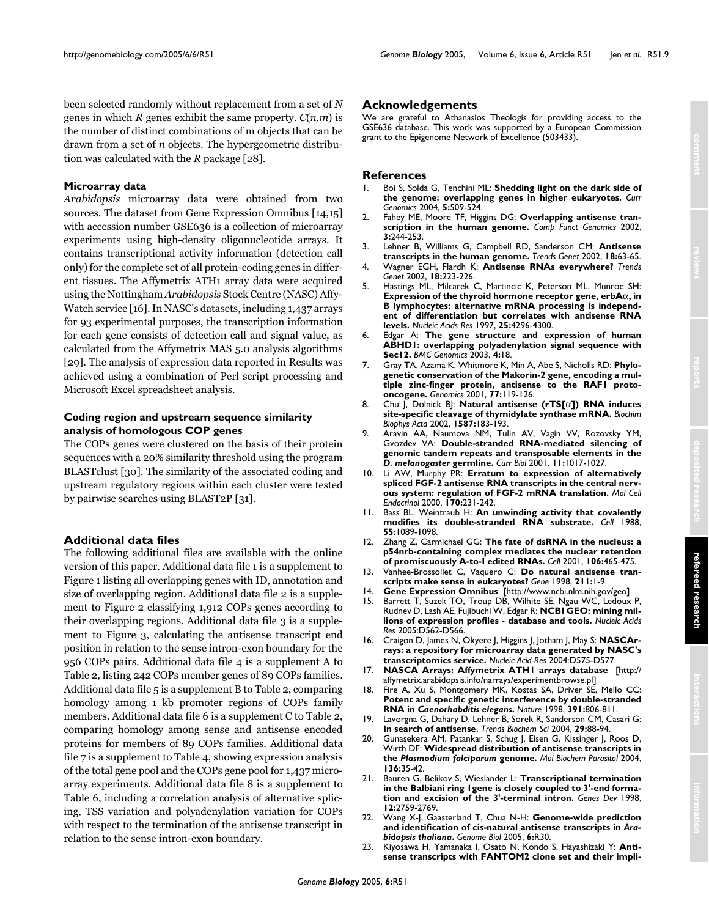been selected randomly without replacement from a set of *N* genes in which *R* genes exhibit the same property. *C*(*n,m*) is the number of distinct combinations of m objects that can be drawn from a set of *n* objects. The hypergeometric distribution was calculated with the *R* package [28].

# **Microarray data**

*Arabidopsis* microarray data were obtained from two sources. The dataset from Gene Expression Omnibus [14,15] with accession number GSE636 is a collection of microarray experiments using high-density oligonucleotide arrays. It contains transcriptional activity information (detection call only) for the complete set of all protein-coding genes in different tissues. The Affymetrix ATH1 array data were acquired using the Nottingham *Arabidopsis* Stock Centre (NASC) Affy-Watch service [16]. In NASC's datasets, including 1,437 arrays for 93 experimental purposes, the transcription information for each gene consists of detection call and signal value, as calculated from the Affymetrix MAS 5.0 analysis algorithms [29]. The analysis of expression data reported in Results was achieved using a combination of Perl script processing and Microsoft Excel spreadsheet analysis.

# **Coding region and upstream sequence similarity analysis of homologous COP genes**

The COPs genes were clustered on the basis of their protein sequences with a 20% similarity threshold using the program BLASTclust [30]. The similarity of the associated coding and upstream regulatory regions within each cluster were tested by pairwise searches using BLAST2P [31].

# **Additional data files**

The following additional files are available with the online version of this paper. Additional data file 1 is a supplement to Figure 1 listing all overlapping genes with ID, annotation and size of overlapping region. Additional data file 2 is a supplement to Figure 2 classifying 1,912 COPs genes according to their overlapping regions. Additional data file 3 is a supplement to Figure 3, calculating the antisense transcript end position in relation to the sense intron-exon boundary for the 956 COPs pairs. Additional data file 4 is a supplement A to Table [2](#page-2-1), listing 242 COPs member genes of 89 COPs families. Additional data file 5 is a supplement B to Table [2](#page-2-1), comparing homology among 1 kb promoter regions of COPs family members. Additional data file 6 is a supplement C to Table [2,](#page-2-1) comparing homology among sense and antisense encoded proteins for members of 89 COPs families. Additional data file 7 is a supplement to Table [4,](#page-4-1) showing expression analysis of the total gene pool and the COPs gene pool for 1,437 microarray experiments. Additional data file 8 is a supplement to Table [6](#page-5-0), including a correlation analysis of alternative splicing, TSS variation and polyadenylation variation for COPs with respect to the termination of the antisense transcript in relation to the sense intron-exon boundary.

# **Acknowledgements**

We are grateful to Athanasios Theologis for providing access to the GSE636 database. This work was supported by a European Commission grant to the Epigenome Network of Excellence (503433).

# **References**

- 1. Boi S, Solda G, Tenchini ML: **Shedding light on the dark side of the genome: overlapping genes in higher eukaryotes.** *Curr Genomics* 2004, **5:**509-524.
- 2. Fahey ME, Moore TF, Higgins DG: **Overlapping antisense transcription in the human genome.** *Comp Funct Genomics* 2002, **3:**244-253.
- 3. Lehner B, Williams G, Campbell RD, Sanderson CM: **[Antisense](http://www.ncbi.nlm.nih.gov/entrez/query.fcgi?cmd=Retrieve&db=PubMed&dopt=Abstract&list_uids=11818131) [transcripts in the human genome.](http://www.ncbi.nlm.nih.gov/entrez/query.fcgi?cmd=Retrieve&db=PubMed&dopt=Abstract&list_uids=11818131)** *Trends Genet* 2002, **18:**63-65.
- 4. Wagner EGH, Flardh K: **[Antisense RNAs everywhere?](http://www.ncbi.nlm.nih.gov/entrez/query.fcgi?cmd=Retrieve&db=PubMed&dopt=Abstract&list_uids=12047936)** *Trends Genet* 2002, **18:**223-226.
- 5. Hastings ML, Milcarek C, Martincic K, Peterson ML, Munroe SH: **Expression of the thyroid hormone receptor gene, erbA**α**[, in](http://www.ncbi.nlm.nih.gov/entrez/query.fcgi?cmd=Retrieve&db=PubMed&dopt=Abstract&list_uids=9336460) [B lymphocytes: alternative mRNA processing is independ](http://www.ncbi.nlm.nih.gov/entrez/query.fcgi?cmd=Retrieve&db=PubMed&dopt=Abstract&list_uids=9336460)ent of differentiation but correlates with antisense RNA [levels.](http://www.ncbi.nlm.nih.gov/entrez/query.fcgi?cmd=Retrieve&db=PubMed&dopt=Abstract&list_uids=9336460)** *Nucleic Acids Res* 1997, **25:**4296-4300.
- 6. Edgar A: **[The gene structure and expression of human](http://www.ncbi.nlm.nih.gov/entrez/query.fcgi?cmd=Retrieve&db=PubMed&dopt=Abstract&list_uids=12735795) [ABHD1: overlapping polyadenylation signal sequence with](http://www.ncbi.nlm.nih.gov/entrez/query.fcgi?cmd=Retrieve&db=PubMed&dopt=Abstract&list_uids=12735795) [Sec12.](http://www.ncbi.nlm.nih.gov/entrez/query.fcgi?cmd=Retrieve&db=PubMed&dopt=Abstract&list_uids=12735795)** *BMC Genomics* 2003, **4:**18.
- 7. Gray TA, Azama K, Whitmore K, Min A, Abe S, Nicholls RD: **[Phylo](http://www.ncbi.nlm.nih.gov/entrez/query.fcgi?cmd=Retrieve&db=PubMed&dopt=Abstract&list_uids=11597136)[genetic conservation of the Makorin-2 gene, encoding a mul](http://www.ncbi.nlm.nih.gov/entrez/query.fcgi?cmd=Retrieve&db=PubMed&dopt=Abstract&list_uids=11597136)tiple zinc-finger protein, antisense to the RAF1 proto[oncogene.](http://www.ncbi.nlm.nih.gov/entrez/query.fcgi?cmd=Retrieve&db=PubMed&dopt=Abstract&list_uids=11597136)** *Genomics* 2001, **77:**119-126.
- 8. Chu J, Dolnick BJ: **Natural antisense (rTS[**α**[\]\) RNA induces](http://www.ncbi.nlm.nih.gov/entrez/query.fcgi?cmd=Retrieve&db=PubMed&dopt=Abstract&list_uids=12084460) [site-specific cleavage of thymidylate synthase mRNA.](http://www.ncbi.nlm.nih.gov/entrez/query.fcgi?cmd=Retrieve&db=PubMed&dopt=Abstract&list_uids=12084460)** *Biochim Biophys Acta* 2002, **1587:**183-193.
- 9. Aravin AA, Naumova NM, Tulin AV, Vagin VV, Rozovsky YM, Gvozdev VA: **Double-stranded RNA-mediated silencing of genomic tandem repeats and transposable elements in the** *D. melanogaster* **[germline.](http://www.ncbi.nlm.nih.gov/entrez/query.fcgi?cmd=Retrieve&db=PubMed&dopt=Abstract&list_uids=11470406)** *Curr Biol* 2001, **11:**1017-1027.
- 10. Li AW, Murphy PR: **Erratum to expression of alternatively spliced FGF-2 antisense RNA transcripts in the central nervous system: regulation of FGF-2 mRNA translation.** *Mol Cell Endocrinol* 2000, **170:**231-242.
- 11. Bass BL, Weintraub H: **[An unwinding activity that covalently](http://www.ncbi.nlm.nih.gov/entrez/query.fcgi?cmd=Retrieve&db=PubMed&dopt=Abstract&list_uids=3203381) [modifies its double-stranded RNA substrate.](http://www.ncbi.nlm.nih.gov/entrez/query.fcgi?cmd=Retrieve&db=PubMed&dopt=Abstract&list_uids=3203381)** *Cell* 1988, **55:**1089-1098.
- 12. Zhang Z, Carmichael GG: **[The fate of dsRNA in the nucleus: a](http://www.ncbi.nlm.nih.gov/entrez/query.fcgi?cmd=Retrieve&db=PubMed&dopt=Abstract&list_uids=11525732) [p54nrb-containing complex mediates the nuclear retention](http://www.ncbi.nlm.nih.gov/entrez/query.fcgi?cmd=Retrieve&db=PubMed&dopt=Abstract&list_uids=11525732) [of promiscuously A-to-I edited RNAs.](http://www.ncbi.nlm.nih.gov/entrez/query.fcgi?cmd=Retrieve&db=PubMed&dopt=Abstract&list_uids=11525732)** *Cell* 2001, **106:**465-475.
- 13. Vanhee-Brossollet C, Vaquero C: **[Do natural antisense tran](http://www.ncbi.nlm.nih.gov/entrez/query.fcgi?cmd=Retrieve&db=PubMed&dopt=Abstract&list_uids=9573333)[scripts make sense in eukaryotes?](http://www.ncbi.nlm.nih.gov/entrez/query.fcgi?cmd=Retrieve&db=PubMed&dopt=Abstract&list_uids=9573333)** *Gene* 1998, **211:**1-9.
- 14. **Gene Expression Omnibus** [\[http://www.ncbi.nlm.nih.gov/geo\]](http://www.ncbi.nlm.nih.gov/geo)
- 15. Barrett T, Suzek TO, Troup DB, Wilhite SE, Ngau WC, Ledoux P, Rudnev D, Lash AE, Fujibuchi W, Edgar R: **[NCBI GEO: mining mil](http://www.ncbi.nlm.nih.gov/entrez/query.fcgi?cmd=Retrieve&db=PubMed&dopt=Abstract&list_uids=15608262)[lions of expression profiles - database and tools.](http://www.ncbi.nlm.nih.gov/entrez/query.fcgi?cmd=Retrieve&db=PubMed&dopt=Abstract&list_uids=15608262)** *Nucleic Acids Res* 2005:D562-D566.
- 16. Craigon D, James N, Okyere J, Higgins J, Jotham J, May S: **[NASCAr](http://www.ncbi.nlm.nih.gov/entrez/query.fcgi?cmd=Retrieve&db=PubMed&dopt=Abstract&list_uids=14681484)[rays: a repository for microarray data generated by NASC's](http://www.ncbi.nlm.nih.gov/entrez/query.fcgi?cmd=Retrieve&db=PubMed&dopt=Abstract&list_uids=14681484) [transcriptomics service.](http://www.ncbi.nlm.nih.gov/entrez/query.fcgi?cmd=Retrieve&db=PubMed&dopt=Abstract&list_uids=14681484)** *Nucleic Acid Res* 2004:D575-D577.
- 17. **NASCA Arrays: Affymetrix ATH1 arrays database** [\[http://](http://affymetrix.arabidopsis.info/narrays/experimentbrowse.pl) [affymetrix.arabidopsis.info/narrays/experimentbrowse.pl\]](http://affymetrix.arabidopsis.info/narrays/experimentbrowse.pl)
- 18. Fire A, Xu S, Montgomery MK, Kostas SA, Driver SE, Mello CC: **Potent and specific genetic interference by double-stranded RNA in** *Caenorhabditis elegans***[.](http://www.ncbi.nlm.nih.gov/entrez/query.fcgi?cmd=Retrieve&db=PubMed&dopt=Abstract&list_uids=9486653)** *Nature* 1998, **391:**806-811.
- 19. Lavorgna G, Dahary D, Lehner B, Sorek R, Sanderson CM, Casari G: **[In search of antisense.](http://www.ncbi.nlm.nih.gov/entrez/query.fcgi?cmd=Retrieve&db=PubMed&dopt=Abstract&list_uids=15102435)** *Trends Biochem Sci* 2004, **29:**88-94.
- 20. Gunasekera AM, Patankar S, Schug J, Eisen G, Kissinger J, Roos D, Wirth DF: **Widespread distribution of antisense transcripts in the** *Plasmodium falciparum* **[genome.](http://www.ncbi.nlm.nih.gov/entrez/query.fcgi?cmd=Retrieve&db=PubMed&dopt=Abstract&list_uids=15138065)** *Mol Biochem Parasitol* 2004, **136:**35-42.
- 21. Bauren G, Belikov S, Wieslander L: **[Transcriptional termination](http://www.ncbi.nlm.nih.gov/entrez/query.fcgi?cmd=Retrieve&db=PubMed&dopt=Abstract&list_uids=9732273) [in the Balbiani ring 1gene is closely coupled to 3'-end forma](http://www.ncbi.nlm.nih.gov/entrez/query.fcgi?cmd=Retrieve&db=PubMed&dopt=Abstract&list_uids=9732273)[tion and excision of the 3'-terminal intron.](http://www.ncbi.nlm.nih.gov/entrez/query.fcgi?cmd=Retrieve&db=PubMed&dopt=Abstract&list_uids=9732273)** *Genes Dev* 1998, **12:**2759-2769.
- <span id="page-8-0"></span>22. Wang X-J, Gaasterland T, Chua N-H: **Genome-wide prediction and identification of cis-natural antisense transcripts in** *Arabidopsis thaliana***[.](http://www.ncbi.nlm.nih.gov/entrez/query.fcgi?cmd=Retrieve&db=PubMed&dopt=Abstract&list_uids=15833117)** *Genome Biol* 2005, **6:**R30.
- 23. Kiyosawa H, Yamanaka I, Osato N, Kondo S, Hayashizaki Y: **[Anti](http://www.ncbi.nlm.nih.gov/entrez/query.fcgi?cmd=Retrieve&db=PubMed&dopt=Abstract&list_uids=12819130)[sense transcripts with FANTOM2 clone set and their impli](http://www.ncbi.nlm.nih.gov/entrez/query.fcgi?cmd=Retrieve&db=PubMed&dopt=Abstract&list_uids=12819130)-**